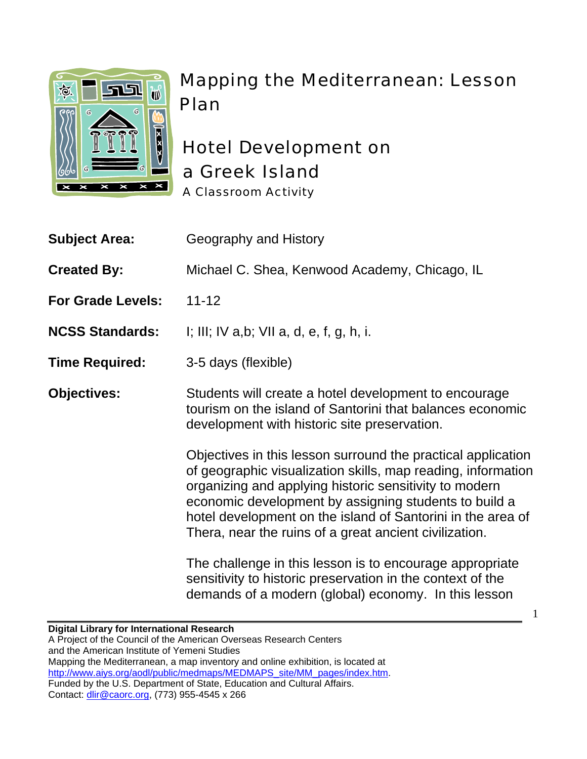

# Mapping the Mediterranean: Lesson Plan

## Hotel Development on a Greek Island A Classroom Activity

| <b>Subject Area:</b>     | Geography and History                                                                                                                                                                                                                                                                                                                                                    |  |
|--------------------------|--------------------------------------------------------------------------------------------------------------------------------------------------------------------------------------------------------------------------------------------------------------------------------------------------------------------------------------------------------------------------|--|
| <b>Created By:</b>       | Michael C. Shea, Kenwood Academy, Chicago, IL                                                                                                                                                                                                                                                                                                                            |  |
| <b>For Grade Levels:</b> | $11 - 12$                                                                                                                                                                                                                                                                                                                                                                |  |
| <b>NCSS Standards:</b>   | I; III; IV $a,b$ ; VII $a, d, e, f, g, h, i$ .                                                                                                                                                                                                                                                                                                                           |  |
| <b>Time Required:</b>    | 3-5 days (flexible)                                                                                                                                                                                                                                                                                                                                                      |  |
| <b>Objectives:</b>       | Students will create a hotel development to encourage<br>tourism on the island of Santorini that balances economic<br>development with historic site preservation.                                                                                                                                                                                                       |  |
|                          | Objectives in this lesson surround the practical application<br>of geographic visualization skills, map reading, information<br>organizing and applying historic sensitivity to modern<br>economic development by assigning students to build a<br>hotel development on the island of Santorini in the area of<br>Thera, near the ruins of a great ancient civilization. |  |
|                          | The challenge in this lesson is to encourage appropriate<br>sensitivity to historic preservation in the context of the<br>demands of a modern (global) economy. In this lesson                                                                                                                                                                                           |  |
|                          | 1                                                                                                                                                                                                                                                                                                                                                                        |  |

**Digital Library for International Research** 

A Project of the Council of the American Overseas Research Centers and the American Institute of Yemeni Studies Mapping the Mediterranean, a map inventory and online exhibition, is located at http://www.aiys.org/aodl/public/medmaps/MEDMAPS\_site/MM\_pages/index.htm. Funded by the U.S. Department of State, Education and Cultural Affairs. Contact: dlir@caorc.org, (773) 955-4545 x 266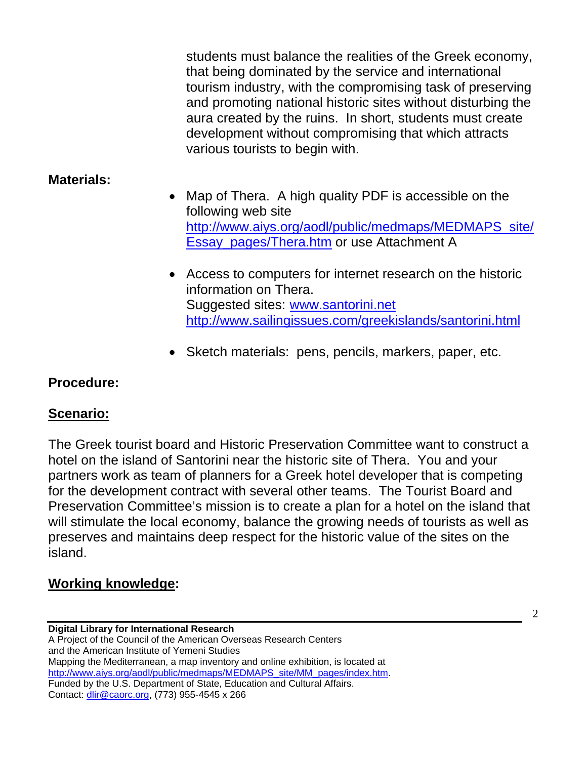students must balance the realities of the Greek economy, that being dominated by the service and international tourism industry, with the compromising task of preserving and promoting national historic sites without disturbing the aura created by the ruins. In short, students must create development without compromising that which attracts various tourists to begin with.

#### **Materials:**

- Map of Thera. A high quality PDF is accessible on the following web site [http://www.aiys.org/aodl/public/medmaps/MEDMAPS\\_site/](http://www.aiys.org/aodl/public/medmaps/MEDMAPS_site/Essay_pages/Thera.htm) [Essay\\_pages/Thera.htm](http://www.aiys.org/aodl/public/medmaps/MEDMAPS_site/Essay_pages/Thera.htm) or use Attachment A
- Access to computers for internet research on the historic information on Thera. Suggested sites: [www.santorini.net](http://www.santorini.net) <http://www.sailingissues.com/greekislands/santorini.html>
- Sketch materials: pens, pencils, markers, paper, etc.

#### **Procedure:**

#### **Scenario:**

The Greek tourist board and Historic Preservation Committee want to construct a hotel on the island of Santorini near the historic site of Thera. You and your partners work as team of planners for a Greek hotel developer that is competing for the development contract with several other teams. The Tourist Board and Preservation Committee's mission is to create a plan for a hotel on the island that will stimulate the local economy, balance the growing needs of tourists as well as preserves and maintains deep respect for the historic value of the sites on the island.

## **Working knowledge:**

**Digital Library for International Research**  A Project of the Council of the American Overseas Research Centers and the American Institute of Yemeni Studies Mapping the Mediterranean, a map inventory and online exhibition, is located at http://www.aiys.org/aodl/public/medmaps/MEDMAPS\_site/MM\_pages/index.htm. Funded by the U.S. Department of State, Education and Cultural Affairs. Contact: dlir@caorc.org, (773) 955-4545 x 266

2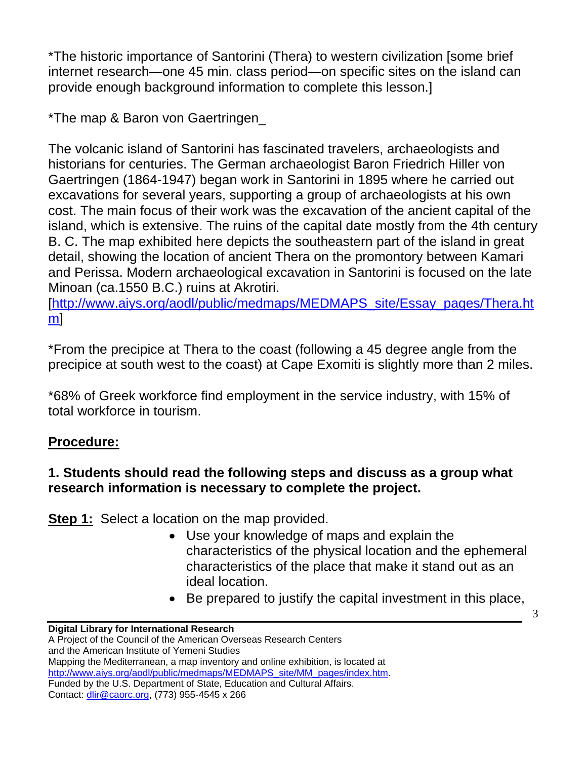\*The historic importance of Santorini (Thera) to western civilization [some brief internet research—one 45 min. class period—on specific sites on the island can provide enough background information to complete this lesson.]

\*The map & Baron von Gaertringen\_

The volcanic island of Santorini has fascinated travelers, archaeologists and historians for centuries. The German archaeologist Baron Friedrich Hiller von Gaertringen (1864-1947) began work in Santorini in 1895 where he carried out excavations for several years, supporting a group of archaeologists at his own cost. The main focus of their work was the excavation of the ancient capital of the island, which is extensive. The ruins of the capital date mostly from the 4th century B. C. The map exhibited here depicts the southeastern part of the island in great detail, showing the location of ancient Thera on the promontory between Kamari and Perissa. Modern archaeological excavation in Santorini is focused on the late Minoan (ca.1550 B.C.) ruins at Akrotiri.

[\[http://www.aiys.org/aodl/public/medmaps/MEDMAPS\\_site/Essay\\_pages/Thera.ht](http://www.aiys.org/aodl/public/medmaps/MEDMAPS_site/Essay_pages/Thera.htm) [m](http://www.aiys.org/aodl/public/medmaps/MEDMAPS_site/Essay_pages/Thera.htm)]

\*From the precipice at Thera to the coast (following a 45 degree angle from the precipice at south west to the coast) at Cape Exomiti is slightly more than 2 miles.

\*68% of Greek workforce find employment in the service industry, with 15% of total workforce in tourism.

## **Procedure:**

## **1. Students should read the following steps and discuss as a group what research information is necessary to complete the project.**

**Step 1:** Select a location on the map provided.

- Use your knowledge of maps and explain the characteristics of the physical location and the ephemeral characteristics of the place that make it stand out as an ideal location.
- Be prepared to justify the capital investment in this place,

3

**Digital Library for International Research** 

A Project of the Council of the American Overseas Research Centers and the American Institute of Yemeni Studies Mapping the Mediterranean, a map inventory and online exhibition, is located at http://www.aiys.org/aodl/public/medmaps/MEDMAPS\_site/MM\_pages/index.htm. Funded by the U.S. Department of State, Education and Cultural Affairs. Contact: dlir@caorc.org, (773) 955-4545 x 266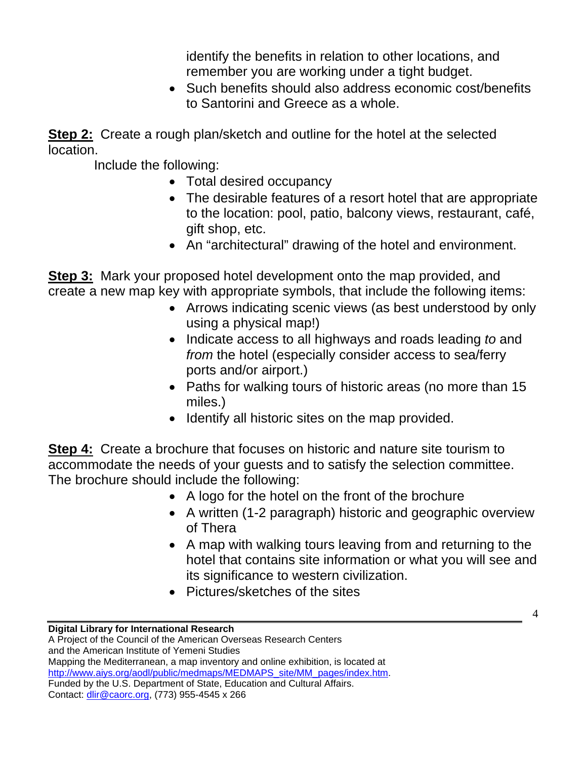identify the benefits in relation to other locations, and remember you are working under a tight budget.

• Such benefits should also address economic cost/benefits to Santorini and Greece as a whole.

**Step 2:** Create a rough plan/sketch and outline for the hotel at the selected location.

Include the following:

- Total desired occupancy
- The desirable features of a resort hotel that are appropriate to the location: pool, patio, balcony views, restaurant, café, gift shop, etc.
- An "architectural" drawing of the hotel and environment.

**Step 3:** Mark your proposed hotel development onto the map provided, and create a new map key with appropriate symbols, that include the following items:

- Arrows indicating scenic views (as best understood by only using a physical map!)
- Indicate access to all highways and roads leading *to* and *from* the hotel (especially consider access to sea/ferry ports and/or airport.)
- Paths for walking tours of historic areas (no more than 15 miles.)
- Identify all historic sites on the map provided.

**Step 4:** Create a brochure that focuses on historic and nature site tourism to accommodate the needs of your guests and to satisfy the selection committee. The brochure should include the following:

- A logo for the hotel on the front of the brochure
- A written (1-2 paragraph) historic and geographic overview of Thera
- A map with walking tours leaving from and returning to the hotel that contains site information or what you will see and its significance to western civilization.

4

• Pictures/sketches of the sites

#### **Digital Library for International Research**

A Project of the Council of the American Overseas Research Centers and the American Institute of Yemeni Studies Mapping the Mediterranean, a map inventory and online exhibition, is located at http://www.aiys.org/aodl/public/medmaps/MEDMAPS\_site/MM\_pages/index.htm. Funded by the U.S. Department of State, Education and Cultural Affairs. Contact: dlir@caorc.org, (773) 955-4545 x 266